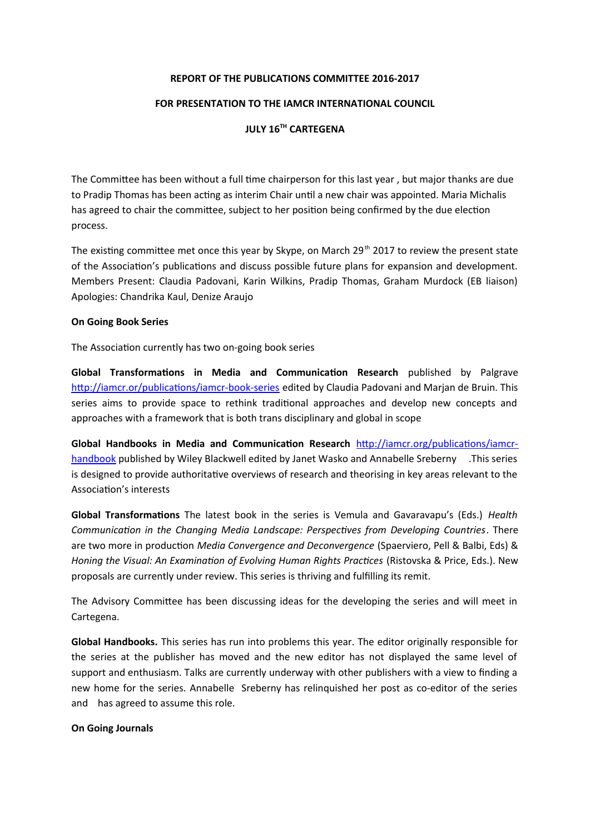### **REPORT OF THE PUBLICATIONS COMMITTEE 2016-2017**

## **FOR PRESENTATION TO THE IAMCR INTERNATIONAL COUNCIL**

# **JULY 16TH CARTEGENA**

The Committee has been without a full time chairperson for this last year , but major thanks are due to Pradip Thomas has been acting as interim Chair until a new chair was appointed. Maria Michalis has agreed to chair the committee, subject to her position being confirmed by the due election process.

The existing committee met once this year by Skype, on March 29<sup>th</sup> 2017 to review the present state of the Association's publications and discuss possible future plans for expansion and development. Members Present: Claudia Padovani, Karin Wilkins, Pradip Thomas, Graham Murdock (EB liaison) Apologies: Chandrika Kaul, Denize Araujo

### **On Going Book Series**

The Association currently has two on-going book series

**Global Transformations in Media and Communication Research** published by Palgrave <http://iamcr.or/publications/iamcr-book-series> edited by Claudia Padovani and Marjan de Bruin. This series aims to provide space to rethink traditional approaches and develop new concepts and approaches with a framework that is both trans disciplinary and global in scope

**Global Handbooks in Media and Communication Research** [http://iamcr.org/publications/iamcr](http://iamcr.org/publications/iamcr-handbook)[handbook](http://iamcr.org/publications/iamcr-handbook) published by Wiley Blackwell edited by Janet Wasko and Annabelle Sreberny .This series is designed to provide authoritative overviews of research and theorising in key areas relevant to the Association's interests

**Global Transformations** The latest book in the series is Vemula and Gavaravapu's (Eds.) *Health Communication in the Changing Media Landscape: Perspectives from Developing Countries*. There are two more in production *Media Convergence and Deconvergence* (Spaerviero, Pell & Balbi, Eds) & *Honing the Visual: An Examination of Evolving Human Rights Practices* (Ristovska & Price, Eds.). New proposals are currently under review. This series is thriving and fulfilling its remit.

The Advisory Committee has been discussing ideas for the developing the series and will meet in Cartegena.

**Global Handbooks.** This series has run into problems this year. The editor originally responsible for the series at the publisher has moved and the new editor has not displayed the same level of support and enthusiasm. Talks are currently underway with other publishers with a view to finding a new home for the series. Annabelle Sreberny has relinquished her post as co-editor of the series and has agreed to assume this role.

#### **On Going Journals**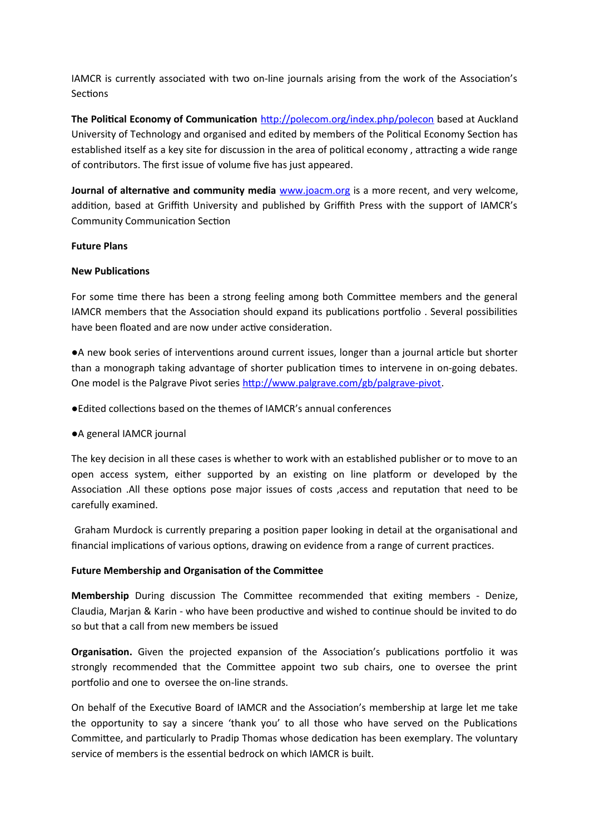IAMCR is currently associated with two on-line journals arising from the work of the Association's **Sections** 

**The Political Economy of Communication** <http://polecom.org/index.php/polecon> based at Auckland University of Technology and organised and edited by members of the Political Economy Section has established itself as a key site for discussion in the area of political economy , attracting a wide range of contributors. The first issue of volume five has just appeared.

Journal of alternative and community media **WWW.joacm.org** is a more recent, and very welcome, addition, based at Griffith University and published by Griffith Press with the support of IAMCR's Community Communication Section

## **Future Plans**

### **New Publications**

For some time there has been a strong feeling among both Committee members and the general IAMCR members that the Association should expand its publications portfolio . Several possibilities have been floated and are now under active consideration.

●A new book series of interventions around current issues, longer than a journal article but shorter than a monograph taking advantage of shorter publication times to intervene in on-going debates. One model is the Palgrave Pivot series <http://www.palgrave.com/gb/palgrave-pivot>.

●Edited collections based on the themes of IAMCR's annual conferences

## ●A general IAMCR journal

The key decision in all these cases is whether to work with an established publisher or to move to an open access system, either supported by an existing on line platform or developed by the Association .All these options pose major issues of costs ,access and reputation that need to be carefully examined.

 Graham Murdock is currently preparing a position paper looking in detail at the organisational and financial implications of various options, drawing on evidence from a range of current practices.

## **Future Membership and Organisation of the Committee**

**Membership** During discussion The Committee recommended that exiting members - Denize, Claudia, Marjan & Karin - who have been productive and wished to continue should be invited to do so but that a call from new members be issued

**Organisation.** Given the projected expansion of the Association's publications portfolio it was strongly recommended that the Committee appoint two sub chairs, one to oversee the print portfolio and one to oversee the on-line strands.

On behalf of the Executive Board of IAMCR and the Association's membership at large let me take the opportunity to say a sincere 'thank you' to all those who have served on the Publications Committee, and particularly to Pradip Thomas whose dedication has been exemplary. The voluntary service of members is the essential bedrock on which IAMCR is built.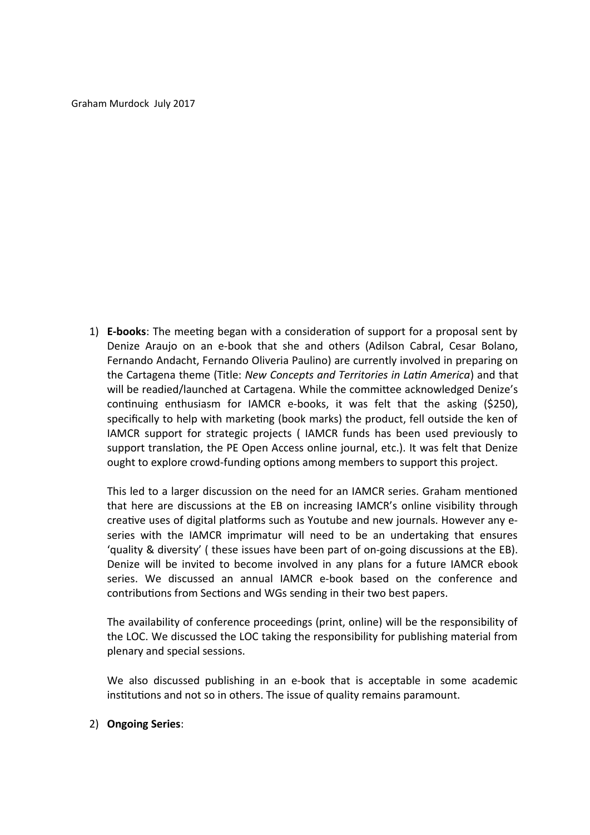Graham Murdock July 2017

1) **E-books**: The meeting began with a consideration of support for a proposal sent by Denize Araujo on an e-book that she and others (Adilson Cabral, Cesar Bolano, Fernando Andacht, Fernando Oliveria Paulino) are currently involved in preparing on the Cartagena theme (Title: *New Concepts and Territories in Latin America*) and that will be readied/launched at Cartagena. While the committee acknowledged Denize's continuing enthusiasm for IAMCR e-books, it was felt that the asking (\$250), specifically to help with marketing (book marks) the product, fell outside the ken of IAMCR support for strategic projects ( IAMCR funds has been used previously to support translation, the PE Open Access online journal, etc.). It was felt that Denize ought to explore crowd-funding options among members to support this project.

This led to a larger discussion on the need for an IAMCR series. Graham mentioned that here are discussions at the EB on increasing IAMCR's online visibility through creative uses of digital platforms such as Youtube and new journals. However any eseries with the IAMCR imprimatur will need to be an undertaking that ensures 'quality & diversity' ( these issues have been part of on-going discussions at the EB). Denize will be invited to become involved in any plans for a future IAMCR ebook series. We discussed an annual IAMCR e-book based on the conference and contributions from Sections and WGs sending in their two best papers.

The availability of conference proceedings (print, online) will be the responsibility of the LOC. We discussed the LOC taking the responsibility for publishing material from plenary and special sessions.

We also discussed publishing in an e-book that is acceptable in some academic institutions and not so in others. The issue of quality remains paramount.

# 2) **Ongoing Series**: